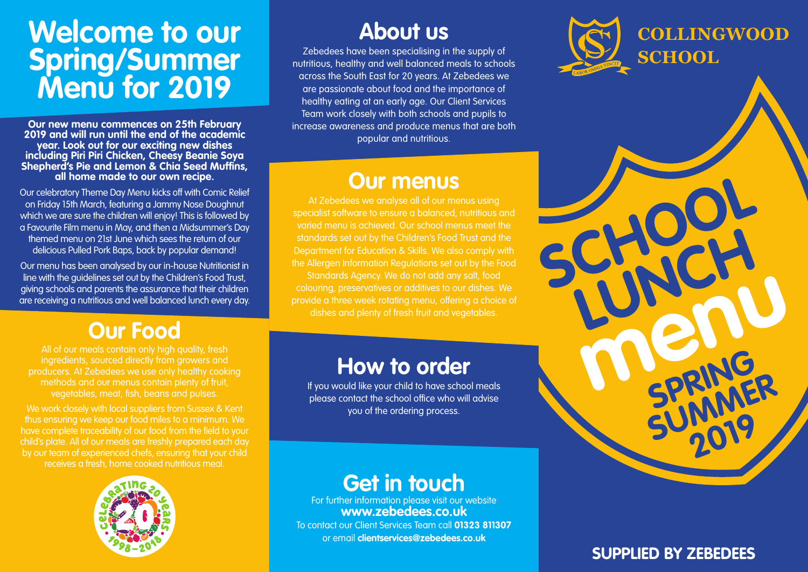## **Welcome to our Spring/Summer Menu for 2019**

**Our new menu commences on 25th February 2019 and will run until the end of the academic year. Look out for our exciting new dishes including Piri Piri Chicken, Cheesy Beanie Soya Shepherd's Pie and Lemon & Chia Seed Muffins, all home made to our own recipe.**

Our celebratory Theme Day Menu kicks off with Comic Relief on Friday 15th March, featuring a Jammy Nose Doughnut which we are sure the children will enjoy! This is followed by a Favourite Film menu in May, and then a Midsummer's Day themed menu on 21st June which sees the return of our delicious Pulled Pork Baps, back by popular demand!

Our menu has been analysed by our in-house Nutritionist in line with the guidelines set out by the Children's Food Trust, giving schools and parents the assurance that their children are receiving a nutritious and well balanced lunch every day.

#### **Our Food**

All of our meals contain only high quality, fresh ingredients, sourced directly from growers and producers. At Zebedees we use only healthy cooking methods and our menus contain plenty of fruit, vegetables, meat, fish, beans and pulses.

We work closely with local suppliers from Sussex & Kent thus ensuring we keep our food miles to a minimum. We have complete traceability of our food from the field to your child's plate. All of our meals are freshly prepared each day by our team of experienced chefs, ensuring that your child receives a fresh, home cooked nutritious meal.



### **About us**

Zebedees have been specialising in the supply of nutritious, healthy and well balanced meals to schools across the South East for 20 years. At Zebedees we are passionate about food and the importance of healthy eating at an early age. Our Client Services Team work closely with both schools and pupils to increase awareness and produce menus that are both popular and nutritious.

#### **Our menus**

specialist software to ensure a balanced, nutritious and varied menu is achieved. Our school menus meet the standards set out by the Children's Food Trust and the Department for Education & Skills. We also comply with the Allergen Information Regulations set out by the Food Standards Agency. We do not add any salt, food colouring, preservatives or additives to our dishes. We provide a three week rotating menu, offering a choice of dishes and plenty of fresh fruit and vegetables.

#### **How to order**

If you would like your child to have school meals please contact the school office who will advise you of the ordering process.

#### **Get in touch**

For further information please visit our website **www.zebedees.co.uk** To contact our Client Services Team call **01323 811307**







#### **SUPPLIED BY ZEBEDEES**